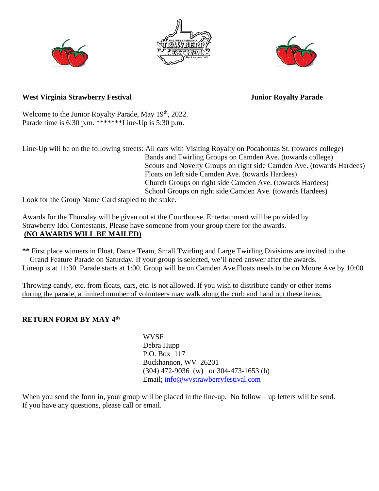





## West Virginia Strawberry Festival **Material Strawberry Festival** Junior Royalty Parade

Welcome to the Junior Royalty Parade, May 19<sup>th</sup>, 2022. Parade time is  $6:30$  p.m. \*\*\*\*\*\*\*Line-Up is  $5:30$  p.m.

Line-Up will be on the following streets: All cars with Visiting Royalty on Pocahontas St. (towards college) Bands and Twirling Groups on Camden Ave. (towards college) Scouts and Novelty Groups on right side Camden Ave. (towards Hardees) Floats on left side Camden Ave. (towards Hardees) Church Groups on right side Camden Ave. (towards Hardees) School Groups on right side Camden Ave. (towards Hardees)

Look for the Group Name Card stapled to the stake.

Awards for the Thursday will be given out at the Courthouse. Entertainment will be provided by Strawberry Idol Contestants. Please have someone from your group there for the awards. **(NO AWARDS WILL BE MAILED)**

**\*\*** First place winners in Float, Dance Team, Small Twirling and Large Twirling Divisions are invited to the Grand Feature Parade on Saturday. If your group is selected, we'll need answer after the awards. Lineup is at 11:30. Parade starts at 1:00. Group will be on Camden Ave.Floats needs to be on Moore Ave by 10:00

Throwing candy, etc. from floats, cars, etc. is not allowed. If you wish to distribute candy or other items during the parade, a limited number of volunteers may walk along the curb and hand out these items.

## **RETURN FORM BY MAY 4th**

 WVSF Debra Hupp P.O. Box 117 Buckhannon, WV 26201 (304) 472-9036 (w) or 304-473-1653 (h) Email; [info@wvstrawberryfestival.com](mailto:info@wvstrawberryfestival.com)

When you send the form in, your group will be placed in the line-up. No follow – up letters will be send. If you have any questions, please call or email.